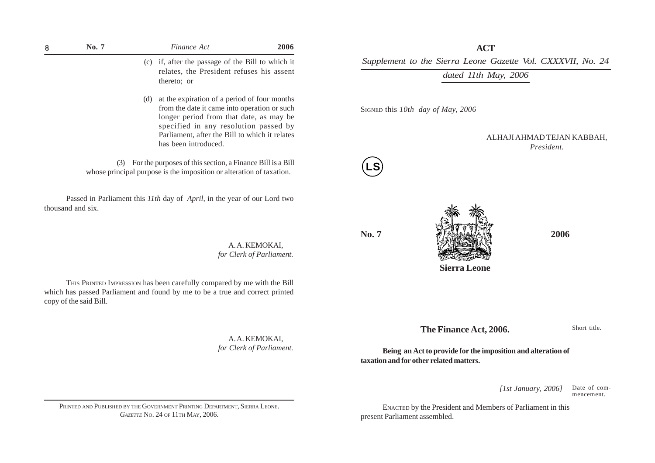| 8 | No. 7                  |     | Finance Act                                                                                                                                                                                                                                                | 2006                                      |             | <b>ACT</b>                                        |                                  |
|---|------------------------|-----|------------------------------------------------------------------------------------------------------------------------------------------------------------------------------------------------------------------------------------------------------------|-------------------------------------------|-------------|---------------------------------------------------|----------------------------------|
|   |                        |     | (c) if, after the passage of the Bill to which it                                                                                                                                                                                                          |                                           |             | Supplement to the Sierra Leone Gazette Vol. CXXXV |                                  |
|   |                        |     | relates, the President refuses his assent<br>thereto; or                                                                                                                                                                                                   |                                           |             | dated 11th May, 2006                              |                                  |
|   |                        | (d) | at the expiration of a period of four months<br>from the date it came into operation or such<br>longer period from that date, as may be<br>specified in any resolution passed by<br>Parliament, after the Bill to which it relates<br>has been introduced. |                                           |             | SIGNED this 10th day of May, 2006                 | ALHAJI AHMAD TEJAN<br>President. |
|   |                        |     | (3) For the purposes of this section, a Finance Bill is a Bill<br>whose principal purpose is the imposition or alteration of taxation.                                                                                                                     |                                           |             |                                                   |                                  |
|   | thousand and six.      |     | Passed in Parliament this 11th day of April, in the year of our Lord two                                                                                                                                                                                   |                                           |             |                                                   |                                  |
|   |                        |     |                                                                                                                                                                                                                                                            | A.A. KEMOKAI,<br>for Clerk of Parliament. | <b>No.7</b> | <b>Sierra Leone</b>                               | 2006                             |
|   | copy of the said Bill. |     | THIS PRINTED IMPRESSION has been carefully compared by me with the Bill<br>which has passed Parliament and found by me to be a true and correct printed                                                                                                    |                                           |             |                                                   |                                  |

A. A. KEMOKAI, *for Clerk of Parliament.*

PRINTED AND PUBLISHED BY THE GOVERNMENT PRINTING DEPARTMENT, SIERRA LEONE. *GAZETTE* NO. 24 OF 11TH MAY, 2006.

**ACT** *Supplement to the Sierra Leone Gazette Vol. CXXXVII, No. 24*

ALHAJI AHMAD TEJAN KABBAH, *President.*



**The Finance Act, 2006.**

Short title.

**Being an Act to provide for the imposition and alteration of taxation and for other related matters.**

> *[1st January, 2006]* Date of commencement.

ENACTED by the President and Members of Parliament in this present Parliament assembled.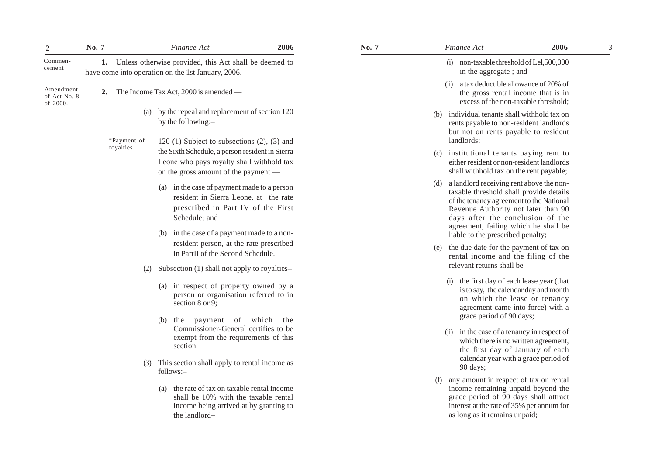| $\overline{2}$                        | No. 7                                                                                                           |    |                    | Finance Act                                                                                                                                                                                   | 2006                                                                                                                                 | No. 7 |                                                                                                                                  | Finance Act                                                                                                                                                                                                                                                                                 | 2006 | 3 |                                                                                                                                                                                       |  |
|---------------------------------------|-----------------------------------------------------------------------------------------------------------------|----|--------------------|-----------------------------------------------------------------------------------------------------------------------------------------------------------------------------------------------|--------------------------------------------------------------------------------------------------------------------------------------|-------|----------------------------------------------------------------------------------------------------------------------------------|---------------------------------------------------------------------------------------------------------------------------------------------------------------------------------------------------------------------------------------------------------------------------------------------|------|---|---------------------------------------------------------------------------------------------------------------------------------------------------------------------------------------|--|
| Commen-<br>cement                     | 1. Unless otherwise provided, this Act shall be deemed to<br>have come into operation on the 1st January, 2006. |    |                    |                                                                                                                                                                                               |                                                                                                                                      |       |                                                                                                                                  | (i) non-taxable threshold of Lel, 500,000<br>in the aggregate; and                                                                                                                                                                                                                          |      |   |                                                                                                                                                                                       |  |
| Amendment<br>of Act No. 8<br>of 2000. |                                                                                                                 | 2. |                    | The Income Tax Act, 2000 is amended —                                                                                                                                                         |                                                                                                                                      |       |                                                                                                                                  | a tax deductible allowance of 20% of<br>(ii)<br>the gross rental income that is in<br>excess of the non-taxable threshold;                                                                                                                                                                  |      |   |                                                                                                                                                                                       |  |
|                                       |                                                                                                                 |    | (a)<br>"Payment of | by the repeal and replacement of section 120<br>by the following:-<br>120 $(1)$ Subject to subsections $(2)$ , $(3)$ and                                                                      |                                                                                                                                      |       |                                                                                                                                  | (b) individual tenants shall withhold tax on<br>rents payable to non-resident landlords<br>but not on rents payable to resident<br>landlords;                                                                                                                                               |      |   |                                                                                                                                                                                       |  |
|                                       |                                                                                                                 |    | royalties          |                                                                                                                                                                                               | the Sixth Schedule, a person resident in Sierra<br>Leone who pays royalty shall withhold tax<br>on the gross amount of the payment — |       | (c) institutional tenants paying rent to<br>either resident or non-resident landlords<br>shall withhold tax on the rent payable; |                                                                                                                                                                                                                                                                                             |      |   |                                                                                                                                                                                       |  |
|                                       |                                                                                                                 |    |                    | (a) in the case of payment made to a person<br>resident in Sierra Leone, at the rate<br>prescribed in Part IV of the First<br>Schedule; and<br>in the case of a payment made to a non-<br>(b) |                                                                                                                                      |       |                                                                                                                                  | (d) a landlord receiving rent above the non-<br>taxable threshold shall provide details<br>of the tenancy agreement to the National<br>Revenue Authority not later than 90<br>days after the conclusion of the<br>agreement, failing which he shall be<br>liable to the prescribed penalty; |      |   |                                                                                                                                                                                       |  |
|                                       |                                                                                                                 |    | (2)                | resident person, at the rate prescribed<br>in PartII of the Second Schedule.<br>Subsection (1) shall not apply to royalties–                                                                  |                                                                                                                                      |       | (e)                                                                                                                              | the due date for the payment of tax on<br>rental income and the filing of the<br>relevant returns shall be —                                                                                                                                                                                |      |   |                                                                                                                                                                                       |  |
|                                       |                                                                                                                 |    |                    |                                                                                                                                                                                               |                                                                                                                                      |       |                                                                                                                                  | (a) in respect of property owned by a<br>person or organisation referred to in<br>section $8$ or $9$ ;<br>payment of which<br>(b)<br>the<br>the                                                                                                                                             |      |   | (i) the first day of each lease year (that<br>is to say, the calendar day and month<br>on which the lease or tenancy<br>agreement came into force) with a<br>grace period of 90 days; |  |
|                                       |                                                                                                                 |    | (3)                | Commissioner-General certifies to be<br>exempt from the requirements of this<br>section.<br>This section shall apply to rental income as<br>follows:-                                         |                                                                                                                                      |       |                                                                                                                                  | (ii) in the case of a tenancy in respect of<br>which there is no written agreement,<br>the first day of January of each<br>calendar year with a grace period of<br>90 days;                                                                                                                 |      |   |                                                                                                                                                                                       |  |
|                                       |                                                                                                                 |    |                    | the rate of tax on taxable rental income<br>(a)<br>shall be 10% with the taxable rental<br>income being arrived at by granting to<br>the landlord-                                            |                                                                                                                                      |       |                                                                                                                                  | any amount in respect of tax on rental<br>income remaining unpaid beyond the<br>grace period of 90 days shall attract<br>interest at the rate of 35% per annum for<br>as long as it remains unpaid;                                                                                         |      |   |                                                                                                                                                                                       |  |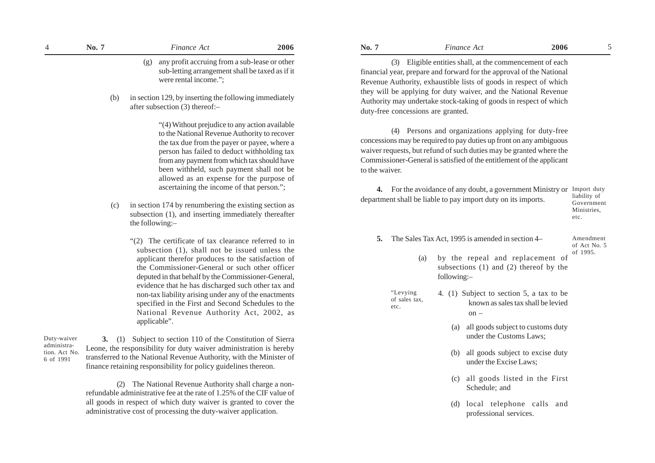|                                           | No. 7 | Finance Act                                                                                                                                                                                                                                                                                                                                                                                  | 2006 | No. 7                              |                            |             | Finance Act                                                   | 2006                                                                                                                                                                                                                                                                                                                                          | 5                                                 |
|-------------------------------------------|-------|----------------------------------------------------------------------------------------------------------------------------------------------------------------------------------------------------------------------------------------------------------------------------------------------------------------------------------------------------------------------------------------------|------|------------------------------------|----------------------------|-------------|---------------------------------------------------------------|-----------------------------------------------------------------------------------------------------------------------------------------------------------------------------------------------------------------------------------------------------------------------------------------------------------------------------------------------|---------------------------------------------------|
|                                           | (b)   | any profit accruing from a sub-lease or other<br>(g)<br>sub-letting arrangement shall be taxed as if it<br>were rental income.";<br>in section 129, by inserting the following immediately                                                                                                                                                                                                   |      |                                    |                            |             |                                                               | (3) Eligible entities shall, at the commencement of each<br>financial year, prepare and forward for the approval of the National<br>Revenue Authority, exhaustible lists of goods in respect of which<br>they will be applying for duty waiver, and the National Revenue<br>Authority may undertake stock-taking of goods in respect of which |                                                   |
|                                           |       | after subsection (3) thereof:-                                                                                                                                                                                                                                                                                                                                                               |      | duty-free concessions are granted. |                            |             |                                                               |                                                                                                                                                                                                                                                                                                                                               |                                                   |
|                                           |       | "(4) Without prejudice to any action available<br>to the National Revenue Authority to recover<br>the tax due from the payer or payee, where a<br>person has failed to deduct withholding tax<br>from any payment from which tax should have<br>been withheld, such payment shall not be<br>allowed as an expense for the purpose of<br>ascertaining the income of that person.";            |      | to the waiver.                     |                            |             |                                                               | (4) Persons and organizations applying for duty-free<br>concessions may be required to pay duties up front on any ambiguous<br>waiver requests, but refund of such duties may be granted where the<br>Commissioner-General is satisfied of the entitlement of the applicant<br>4. For the avoidance of any doubt, a government Ministry or    | Import duty                                       |
|                                           | (c)   | in section 174 by renumbering the existing section as<br>subsection (1), and inserting immediately thereafter<br>the following:-                                                                                                                                                                                                                                                             |      |                                    |                            |             | department shall be liable to pay import duty on its imports. |                                                                                                                                                                                                                                                                                                                                               | liability of<br>Government<br>Ministries,<br>etc. |
|                                           |       | "(2) The certificate of tax clearance referred to in<br>subsection (1), shall not be issued unless the                                                                                                                                                                                                                                                                                       |      | 5.                                 |                            |             | The Sales Tax Act, 1995 is amended in section 4–              |                                                                                                                                                                                                                                                                                                                                               | Amendment<br>of Act No. 5                         |
|                                           |       | applicant therefor produces to the satisfaction of<br>the Commissioner-General or such other officer<br>deputed in that behalf by the Commissioner-General,<br>evidence that he has discharged such other tax and<br>non-tax liability arising under any of the enactments<br>specified in the First and Second Schedules to the<br>National Revenue Authority Act, 2002, as<br>applicable". |      |                                    | (a)                        | following:- |                                                               | by the repeal and replacement of<br>subsections $(1)$ and $(2)$ thereof by the                                                                                                                                                                                                                                                                | of 1995.                                          |
|                                           |       |                                                                                                                                                                                                                                                                                                                                                                                              |      | etc.                               | "Levying"<br>of sales tax, |             | $on -$                                                        | 4. (1) Subject to section 5, a tax to be<br>known as sales tax shall be levied                                                                                                                                                                                                                                                                |                                                   |
| Duty-waiver                               |       | 3. (1) Subject to section 110 of the Constitution of Sierra                                                                                                                                                                                                                                                                                                                                  |      |                                    |                            | (a)         | under the Customs Laws;                                       | all goods subject to customs duty                                                                                                                                                                                                                                                                                                             |                                                   |
| administra-<br>tion. Act No.<br>6 of 1991 |       | Leone, the responsibility for duty waiver administration is hereby<br>transferred to the National Revenue Authority, with the Minister of<br>finance retaining responsibility for policy guidelines thereon.                                                                                                                                                                                 |      |                                    |                            | (b)         | under the Excise Laws;                                        | all goods subject to excise duty                                                                                                                                                                                                                                                                                                              |                                                   |
|                                           |       | (2) The National Revenue Authority shall charge a non-<br>refundable administrative fee at the rate of 1.25% of the CIF value of                                                                                                                                                                                                                                                             |      |                                    |                            | (c)         | Schedule; and                                                 | all goods listed in the First                                                                                                                                                                                                                                                                                                                 |                                                   |
|                                           |       | all goods in respect of which duty waiver is granted to cover the<br>administrative cost of processing the duty-waiver application.                                                                                                                                                                                                                                                          |      |                                    |                            | (d)         | professional services.                                        | local telephone calls and                                                                                                                                                                                                                                                                                                                     |                                                   |